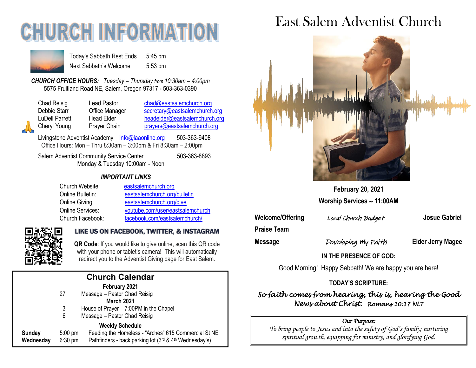# **CHURCH INFORMATI**



Today's Sabbath Rest Ends 5:45 pm Next Sabbath's Welcome 5:53 pm

*CHURCH OFFICE HOURS: Tuesday – Thursday from 10:30am – 4:00pm* 5575 Fruitland Road NE, Salem, Oregon 97317 - 503-363-0390

Chad Reisig Chad Pastor Chad@eastsalemchurch.org Cheryl Young Prayer Chain [prayers@eastsalemchurch.org](mailto:prayers@eastsalemchurch.org)

Debbie Starr **Office Manager** [secretary@eastsalemchurch.org](mailto:secretary@eastsalemchurch.org) LuDell Parrett Head Elder [headelder@eastsalemchurch.org](mailto:headelder@eastsalemchurch.org)

Livingstone Adventist Academy [info@laaonline.org](mailto:info@laaonline.org) 503-363-9408 Office Hours: Mon – Thru 8:30am – 3:00pm & Fri 8:30am – 2:00pm

Salem Adventist Community Service Center 503-363-8893 Monday & Tuesday 10:00am - Noon

#### *IMPORTANT LINKS*

| Church Website:  | eastsalemchurch.org              |
|------------------|----------------------------------|
| Online Bulletin: | eastsalemchurch.org/bulletin     |
| Online Giving:   | eastsalemchurch.org/give         |
| Online Services: | youtube.com/user/eastsalemchurch |
| Church Facebook: | facebook.com/eastsalemchurch/    |



# LIKE US ON FACEBOOK, TWITTER, & INSTAGRAM

 **QR Code**: If you would like to give online, scan this QR code with your phone or tablet's camera! This will automatically redirect you to the Adventist Giving page for East Salem.

|                     |                                | <b>Church Calendar</b>                                                                                                                       |
|---------------------|--------------------------------|----------------------------------------------------------------------------------------------------------------------------------------------|
|                     | 27<br>3<br>6                   | February 2021<br>Message - Pastor Chad Reisig<br><b>March 2021</b><br>House of Prayer - 7:00PM in the Chapel<br>Message - Pastor Chad Reisig |
| Sunday<br>Wednesday | $5:00 \text{ pm}$<br>$6:30$ pm | <b>Weekly Schedule</b><br>Feeding the Homeless - "Arches" 615 Commercial St NE<br>Pathfinders - back parking lot (3rd & 4th Wednesday's)     |

# East Salem Adventist Church



**February 20, 2021 Worship Services 11:00AM**

**Welcome/Offering** Local Church Budget **Josue Gabriel**

**Praise Team** 

**Message Developing My Faith Elder Jerry Magee** 

**IN THE PRESENCE OF GOD:** 

Good Morning! Happy Sabbath! We are happy you are here!

#### **TODAY'S SCRIPTURE:**

*So faith comes from hearing, this is, hearing the Good News about Christ. Romans 10:17 NLT* 

#### *Our Purpose:*

*To bring people to Jesus and into the safety of God's family; nurturing spiritual growth, equipping for ministry, and glorifying God.*